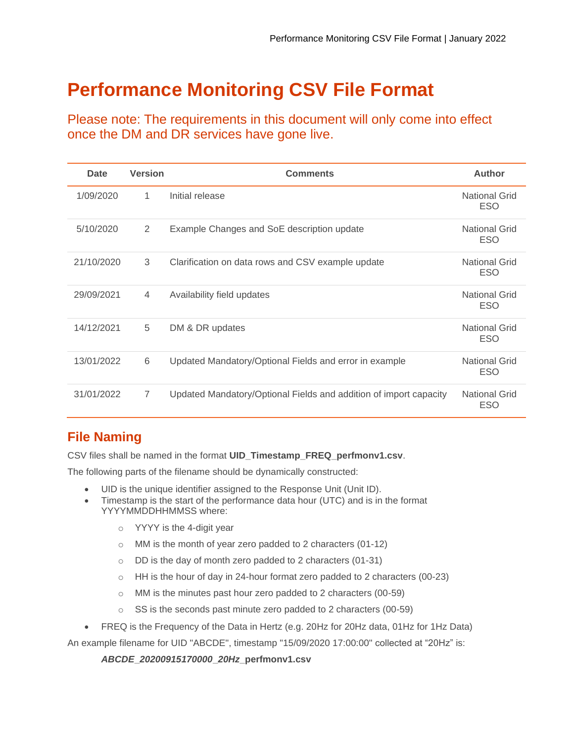# **Performance Monitoring CSV File Format**

Please note: The requirements in this document will only come into effect once the DM and DR services have gone live.

| <b>Date</b> | <b>Version</b> | <b>Comments</b>                                                   | <b>Author</b>                      |
|-------------|----------------|-------------------------------------------------------------------|------------------------------------|
| 1/09/2020   | 1              | Initial release                                                   | <b>National Grid</b><br><b>ESO</b> |
| 5/10/2020   | 2              | Example Changes and SoE description update                        | <b>National Grid</b><br><b>ESO</b> |
| 21/10/2020  | 3              | Clarification on data rows and CSV example update                 | <b>National Grid</b><br><b>ESO</b> |
| 29/09/2021  | $\overline{4}$ | Availability field updates                                        | <b>National Grid</b><br><b>ESO</b> |
| 14/12/2021  | 5              | DM & DR updates                                                   | <b>National Grid</b><br><b>ESO</b> |
| 13/01/2022  | 6              | Updated Mandatory/Optional Fields and error in example            | <b>National Grid</b><br><b>ESO</b> |
| 31/01/2022  | $\overline{7}$ | Updated Mandatory/Optional Fields and addition of import capacity | <b>National Grid</b><br><b>ESO</b> |

## **File Naming**

CSV files shall be named in the format **UID\_Timestamp\_FREQ\_perfmonv1.csv**.

The following parts of the filename should be dynamically constructed:

- UID is the unique identifier assigned to the Response Unit (Unit ID).
- Timestamp is the start of the performance data hour (UTC) and is in the format YYYYMMDDHHMMSS where:
	- o YYYY is the 4-digit year
	- o MM is the month of year zero padded to 2 characters (01-12)
	- o DD is the day of month zero padded to 2 characters (01-31)
	- o HH is the hour of day in 24-hour format zero padded to 2 characters (00-23)
	- o MM is the minutes past hour zero padded to 2 characters (00-59)
	- o SS is the seconds past minute zero padded to 2 characters (00-59)
- FREQ is the Frequency of the Data in Hertz (e.g. 20Hz for 20Hz data, 01Hz for 1Hz Data)

An example filename for UID "ABCDE", timestamp "15/09/2020 17:00:00" collected at "20Hz" is:

*ABCDE***\_***20200915170000***\_***20Hz***\_perfmonv1.csv**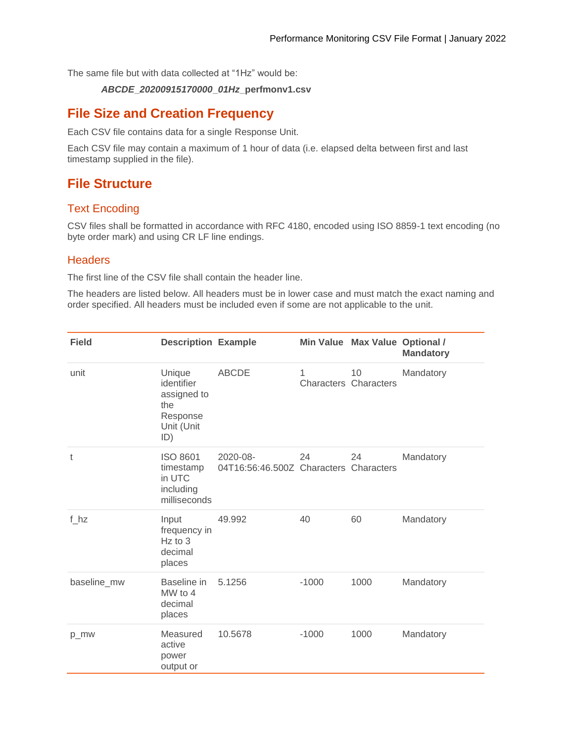The same file but with data collected at "1Hz" would be:

#### *ABCDE***\_***20200915170000***\_***01Hz***\_perfmonv1.csv**

## **File Size and Creation Frequency**

Each CSV file contains data for a single Response Unit.

Each CSV file may contain a maximum of 1 hour of data (i.e. elapsed delta between first and last timestamp supplied in the file).

## **File Structure**

#### Text Encoding

CSV files shall be formatted in accordance with RFC 4180, encoded using ISO 8859-1 text encoding (no byte order mark) and using CR LF line endings.

#### **Headers**

The first line of the CSV file shall contain the header line.

The headers are listed below. All headers must be in lower case and must match the exact naming and order specified. All headers must be included even if some are not applicable to the unit.

| <b>Field</b> | <b>Description Example</b>                                                  |                                                    |                                   | Min Value Max Value Optional / | <b>Mandatory</b> |
|--------------|-----------------------------------------------------------------------------|----------------------------------------------------|-----------------------------------|--------------------------------|------------------|
| unit         | Unique<br>identifier<br>assigned to<br>the<br>Response<br>Unit (Unit<br>ID) | <b>ABCDE</b>                                       | 1<br><b>Characters Characters</b> | 10                             | Mandatory        |
| t            | <b>ISO 8601</b><br>timestamp<br>in UTC<br>including<br>milliseconds         | 2020-08-<br>04T16:56:46.500Z Characters Characters | 24                                | 24                             | Mandatory        |
| f hz         | Input<br>frequency in<br>$Hz$ to 3<br>decimal<br>places                     | 49.992                                             | 40                                | 60                             | Mandatory        |
| baseline_mw  | Baseline in<br>MW to 4<br>decimal<br>places                                 | 5.1256                                             | $-1000$                           | 1000                           | Mandatory        |
| p_mw         | Measured<br>active<br>power<br>output or                                    | 10.5678                                            | $-1000$                           | 1000                           | Mandatory        |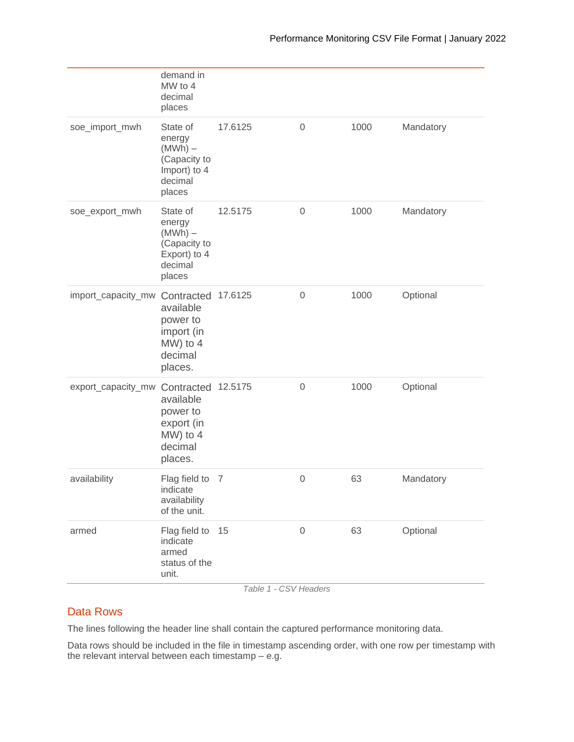|                    | demand in<br>MW to 4<br>decimal<br>places                                                     |         |             |      |           |
|--------------------|-----------------------------------------------------------------------------------------------|---------|-------------|------|-----------|
| soe_import_mwh     | State of<br>energy<br>$(MWh) -$<br>(Capacity to<br>Import) to 4<br>decimal<br>places          | 17.6125 | $\mathbf 0$ | 1000 | Mandatory |
| soe_export_mwh     | State of<br>energy<br>$(MWh) -$<br>(Capacity to<br>Export) to 4<br>decimal<br>places          | 12.5175 | $\mathbf 0$ | 1000 | Mandatory |
| import_capacity_mw | Contracted 17.6125<br>available<br>power to<br>import (in<br>$MW)$ to 4<br>decimal<br>places. |         | 0           | 1000 | Optional  |
| export_capacity_mw | Contracted 12.5175<br>available<br>power to<br>export (in<br>$MW)$ to 4<br>decimal<br>places. |         | $\mathbf 0$ | 1000 | Optional  |
| availability       | Flag field to<br>indicate<br>availability<br>of the unit.                                     | 7       | $\mathbf 0$ | 63   | Mandatory |
| armed              | Flag field to<br>indicate<br>armed<br>status of the<br>unit.                                  | 15      | $\mathbf 0$ | 63   | Optional  |

*Table 1 - CSV Headers*

#### Data Rows

The lines following the header line shall contain the captured performance monitoring data.

Data rows should be included in the file in timestamp ascending order, with one row per timestamp with the relevant interval between each timestamp – e.g.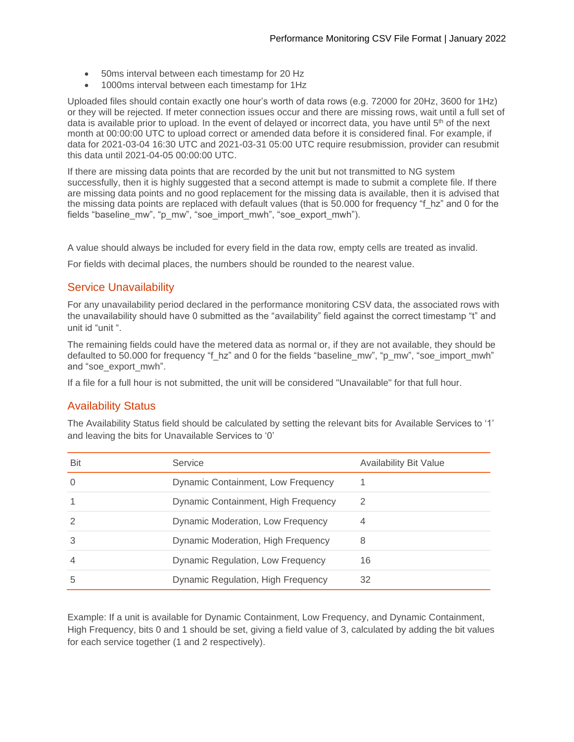- 50ms interval between each timestamp for 20 Hz
- 1000ms interval between each timestamp for 1Hz

Uploaded files should contain exactly one hour's worth of data rows (e.g. 72000 for 20Hz, 3600 for 1Hz) or they will be rejected. If meter connection issues occur and there are missing rows, wait until a full set of data is available prior to upload. In the event of delayed or incorrect data, you have until 5<sup>th</sup> of the next month at 00:00:00 UTC to upload correct or amended data before it is considered final. For example, if data for 2021-03-04 16:30 UTC and 2021-03-31 05:00 UTC require resubmission, provider can resubmit this data until 2021-04-05 00:00:00 UTC.

If there are missing data points that are recorded by the unit but not transmitted to NG system successfully, then it is highly suggested that a second attempt is made to submit a complete file. If there are missing data points and no good replacement for the missing data is available, then it is advised that the missing data points are replaced with default values (that is 50.000 for frequency "f\_hz" and 0 for the fields "baseline mw", "p\_mw", "soe\_import\_mwh", "soe\_export\_mwh").

A value should always be included for every field in the data row, empty cells are treated as invalid.

For fields with decimal places, the numbers should be rounded to the nearest value.

#### Service Unavailability

For any unavailability period declared in the performance monitoring CSV data, the associated rows with the unavailability should have 0 submitted as the "availability" field against the correct timestamp "t" and unit id "unit ".

The remaining fields could have the metered data as normal or, if they are not available, they should be defaulted to 50.000 for frequency "f\_hz" and 0 for the fields "baseline\_mw", "p\_mw", "soe\_import\_mwh" and "soe\_export\_mwh".

If a file for a full hour is not submitted, the unit will be considered "Unavailable" for that full hour.

#### Availability Status

The Availability Status field should be calculated by setting the relevant bits for Available Services to '1' and leaving the bits for Unavailable Services to '0'

| Bit            | Service                             | <b>Availability Bit Value</b> |
|----------------|-------------------------------------|-------------------------------|
| $\Omega$       | Dynamic Containment, Low Frequency  |                               |
|                | Dynamic Containment, High Frequency | 2                             |
| $\mathfrak{D}$ | Dynamic Moderation, Low Frequency   | 4                             |
| 3              | Dynamic Moderation, High Frequency  | 8                             |
| $\overline{4}$ | Dynamic Regulation, Low Frequency   | 16                            |
| 5              | Dynamic Regulation, High Frequency  | 32                            |

Example: If a unit is available for Dynamic Containment, Low Frequency, and Dynamic Containment, High Frequency, bits 0 and 1 should be set, giving a field value of 3, calculated by adding the bit values for each service together (1 and 2 respectively).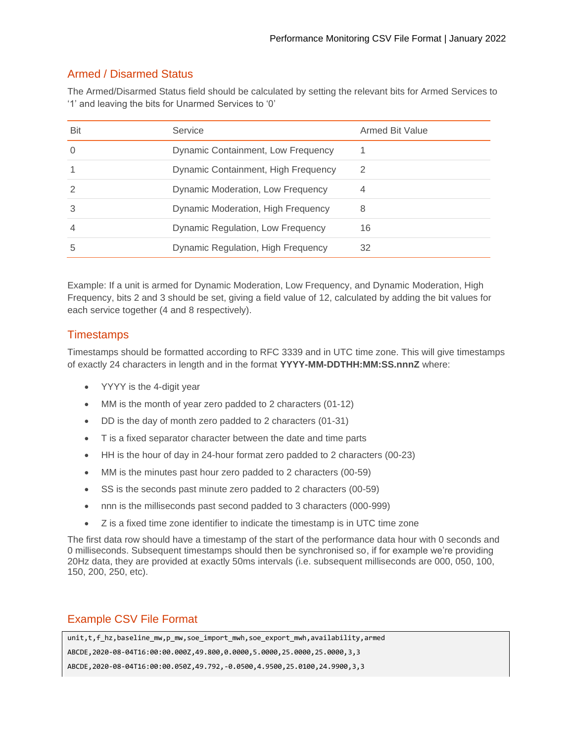## Armed / Disarmed Status

The Armed/Disarmed Status field should be calculated by setting the relevant bits for Armed Services to '1' and leaving the bits for Unarmed Services to '0'

| Bit            | Service                             | <b>Armed Bit Value</b> |
|----------------|-------------------------------------|------------------------|
| $\Omega$       | Dynamic Containment, Low Frequency  |                        |
|                | Dynamic Containment, High Frequency | 2                      |
| 2              | Dynamic Moderation, Low Frequency   | 4                      |
| 3              | Dynamic Moderation, High Frequency  | 8                      |
| $\overline{4}$ | Dynamic Regulation, Low Frequency   | 16                     |
| 5              | Dynamic Regulation, High Frequency  | 32                     |

Example: If a unit is armed for Dynamic Moderation, Low Frequency, and Dynamic Moderation, High Frequency, bits 2 and 3 should be set, giving a field value of 12, calculated by adding the bit values for each service together (4 and 8 respectively).

### **Timestamps**

Timestamps should be formatted according to RFC 3339 and in UTC time zone. This will give timestamps of exactly 24 characters in length and in the format **YYYY-MM-DDTHH:MM:SS.nnnZ** where:

- YYYY is the 4-digit year
- MM is the month of year zero padded to 2 characters (01-12)
- DD is the day of month zero padded to 2 characters (01-31)
- T is a fixed separator character between the date and time parts
- HH is the hour of day in 24-hour format zero padded to 2 characters (00-23)
- MM is the minutes past hour zero padded to 2 characters (00-59)
- SS is the seconds past minute zero padded to 2 characters (00-59)
- nnn is the milliseconds past second padded to 3 characters (000-999)
- Z is a fixed time zone identifier to indicate the timestamp is in UTC time zone

The first data row should have a timestamp of the start of the performance data hour with 0 seconds and 0 milliseconds. Subsequent timestamps should then be synchronised so, if for example we're providing 20Hz data, they are provided at exactly 50ms intervals (i.e. subsequent milliseconds are 000, 050, 100, 150, 200, 250, etc).

#### Example CSV File Format

| unit,t,f_hz,baseline_mw,p_mw,soe_import_mwh,soe_export_mwh,availability,armed    |
|----------------------------------------------------------------------------------|
| ABCDE, 2020-08-04T16:00:00.000Z, 49.800, 0.0000, 5.0000, 25.0000, 25.0000, 3, 3  |
| ABCDE, 2020-08-04T16:00:00.050Z, 49.792, -0.0500, 4.9500, 25.0100, 24.9900, 3, 3 |